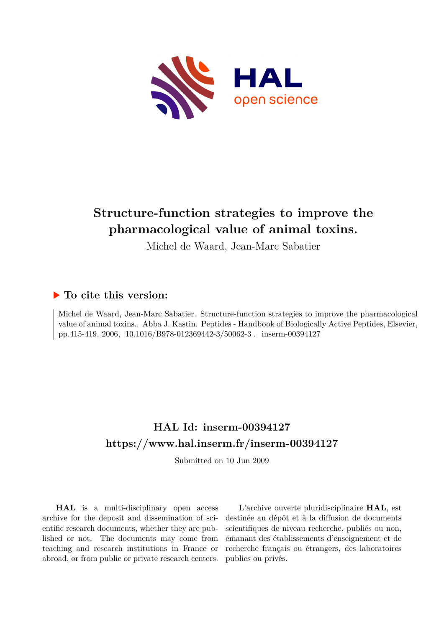

## **Structure-function strategies to improve the pharmacological value of animal toxins.**

Michel de Waard, Jean-Marc Sabatier

### **To cite this version:**

Michel de Waard, Jean-Marc Sabatier. Structure-function strategies to improve the pharmacological value of animal toxins.. Abba J. Kastin. Peptides - Handbook of Biologically Active Peptides, Elsevier, pp.415-419, 2006,  $10.1016/B978-012369442-3/50062-3$ . inserm-00394127

## **HAL Id: inserm-00394127 <https://www.hal.inserm.fr/inserm-00394127>**

Submitted on 10 Jun 2009

**HAL** is a multi-disciplinary open access archive for the deposit and dissemination of scientific research documents, whether they are published or not. The documents may come from teaching and research institutions in France or abroad, or from public or private research centers.

L'archive ouverte pluridisciplinaire **HAL**, est destinée au dépôt et à la diffusion de documents scientifiques de niveau recherche, publiés ou non, émanant des établissements d'enseignement et de recherche français ou étrangers, des laboratoires publics ou privés.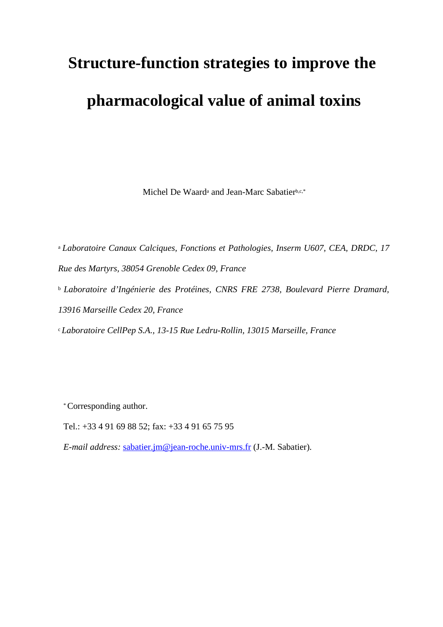# **Structure-function strategies to improve the pharmacological value of animal toxins**

Michel De Waard<sup>a</sup> and Jean-Marc Sabatierb,c,\*

<sup>a</sup>*Laboratoire Canaux Calciques, Fonctions et Pathologies, Inserm U607, CEA, DRDC, 17 Rue des Martyrs, 38054 Grenoble Cedex 09, France* <sup>b</sup>*Laboratoire d'Ingénierie des Protéines, CNRS FRE 2738, Boulevard Pierre Dramard, 13916 Marseille Cedex 20, France*

<sup>c</sup>*Laboratoire CellPep S.A., 13-15 Rue Ledru-Rollin, 13015 Marseille, France*

\* Corresponding author.

Tel.: +33 4 91 69 88 52; fax: +33 4 91 65 75 95

*E-mail address:* [sabatier.jm@jean-roche.univ-mrs.fr](mailto:sabatier.jm@jean-roche.univ-mrs.fr) (J.-M. Sabatier).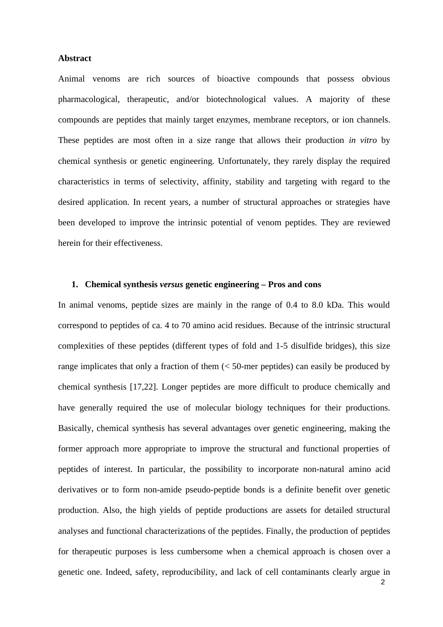#### **Abstract**

Animal venoms are rich sources of bioactive compounds that possess obvious pharmacological, therapeutic, and/or biotechnological values. A majority of these compounds are peptides that mainly target enzymes, membrane receptors, or ion channels. These peptides are most often in a size range that allows their production *in vitro* by chemical synthesis or genetic engineering. Unfortunately, they rarely display the required characteristics in terms of selectivity, affinity, stability and targeting with regard to the desired application. In recent years, a number of structural approaches or strategies have been developed to improve the intrinsic potential of venom peptides. They are reviewed herein for their effectiveness.

#### **1. Chemical synthesis** *versus* **genetic engineering – Pros and cons**

In animal venoms, peptide sizes are mainly in the range of 0.4 to 8.0 kDa. This would correspond to peptides of ca. 4 to 70 amino acid residues. Because of the intrinsic structural complexities of these peptides (different types of fold and 1-5 disulfide bridges), this size range implicates that only a fraction of them  $\langle$  50-mer peptides) can easily be produced by chemical synthesis [17,22]. Longer peptides are more difficult to produce chemically and have generally required the use of molecular biology techniques for their productions. Basically, chemical synthesis has several advantages over genetic engineering, making the former approach more appropriate to improve the structural and functional properties of peptides of interest. In particular, the possibility to incorporate non-natural amino acid derivatives or to form non-amide pseudo-peptide bonds is a definite benefit over genetic production. Also, the high yields of peptide productions are assets for detailed structural analyses and functional characterizations of the peptides. Finally, the production of peptides for therapeutic purposes is less cumbersome when a chemical approach is chosen over a genetic one. Indeed, safety, reproducibility, and lack of cell contaminants clearly argue in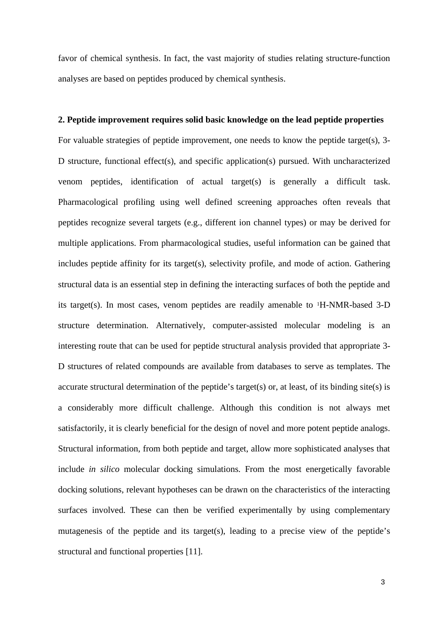favor of chemical synthesis. In fact, the vast majority of studies relating structure-function analyses are based on peptides produced by chemical synthesis.

#### **2. Peptide improvement requires solid basic knowledge on the lead peptide properties**

For valuable strategies of peptide improvement, one needs to know the peptide target(s), 3- D structure, functional effect(s), and specific application(s) pursued. With uncharacterized venom peptides, identification of actual target(s) is generally a difficult task. Pharmacological profiling using well defined screening approaches often reveals that peptides recognize several targets (e.g., different ion channel types) or may be derived for multiple applications. From pharmacological studies, useful information can be gained that includes peptide affinity for its target(s), selectivity profile, and mode of action. Gathering structural data is an essential step in defining the interacting surfaces of both the peptide and its target(s). In most cases, venom peptides are readily amenable to 1H-NMR-based 3-D structure determination. Alternatively, computer-assisted molecular modeling is an interesting route that can be used for peptide structural analysis provided that appropriate 3- D structures of related compounds are available from databases to serve as templates. The accurate structural determination of the peptide's target(s) or, at least, of its binding site(s) is a considerably more difficult challenge. Although this condition is not always met satisfactorily, it is clearly beneficial for the design of novel and more potent peptide analogs. Structural information, from both peptide and target, allow more sophisticated analyses that include *in silico* molecular docking simulations. From the most energetically favorable docking solutions, relevant hypotheses can be drawn on the characteristics of the interacting surfaces involved. These can then be verified experimentally by using complementary mutagenesis of the peptide and its target(s), leading to a precise view of the peptide's structural and functional properties [11].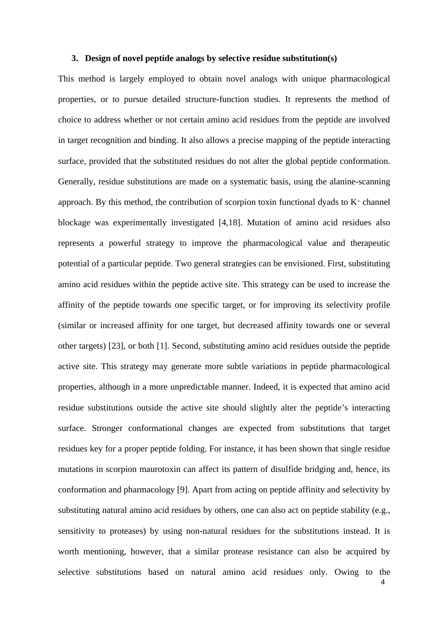#### **3. Design of novel peptide analogs by selective residue substitution(s)**

This method is largely employed to obtain novel analogs with unique pharmacological properties, or to pursue detailed structure-function studies. It represents the method of choice to address whether or not certain amino acid residues from the peptide are involved in target recognition and binding. It also allows a precise mapping of the peptide interacting surface, provided that the substituted residues do not alter the global peptide conformation. Generally, residue substitutions are made on a systematic basis, using the alanine-scanning approach. By this method, the contribution of scorpion toxin functional dyads to  $K^+$  channel blockage was experimentally investigated [4,18]. Mutation of amino acid residues also represents a powerful strategy to improve the pharmacological value and therapeutic potential of a particular peptide. Two general strategies can be envisioned. First, substituting amino acid residues within the peptide active site. This strategy can be used to increase the affinity of the peptide towards one specific target, or for improving its selectivity profile (similar or increased affinity for one target, but decreased affinity towards one or several other targets) [23], or both [1]. Second, substituting amino acid residues outside the peptide active site. This strategy may generate more subtle variations in peptide pharmacological properties, although in a more unpredictable manner. Indeed, it is expected that amino acid residue substitutions outside the active site should slightly alter the peptide's interacting surface. Stronger conformational changes are expected from substitutions that target residues key for a proper peptide folding. For instance, it has been shown that single residue mutations in scorpion maurotoxin can affect its pattern of disulfide bridging and, hence, its conformation and pharmacology [9]. Apart from acting on peptide affinity and selectivity by substituting natural amino acid residues by others, one can also act on peptide stability (e.g., sensitivity to proteases) by using non-natural residues for the substitutions instead. It is worth mentioning, however, that a similar protease resistance can also be acquired by selective substitutions based on natural amino acid residues only. Owing to the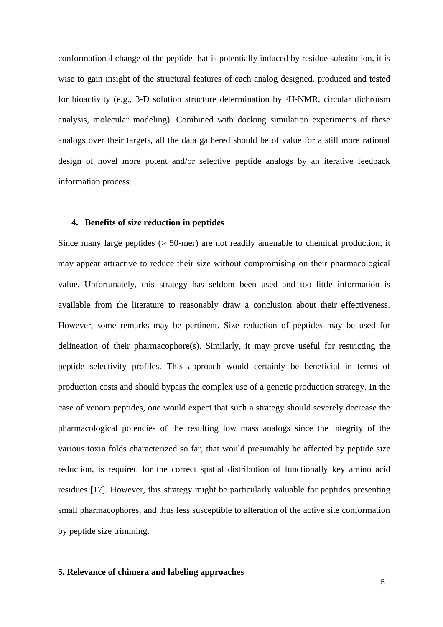conformational change of the peptide that is potentially induced by residue substitution, it is wise to gain insight of the structural features of each analog designed, produced and tested for bioactivity (e.g., 3-D solution structure determination by 1H-NMR, circular dichroïsm analysis, molecular modeling). Combined with docking simulation experiments of these analogs over their targets, all the data gathered should be of value for a still more rational design of novel more potent and/or selective peptide analogs by an iterative feedback information process.

#### **4. Benefits of size reduction in peptides**

Since many large peptides (> 50-mer) are not readily amenable to chemical production, it may appear attractive to reduce their size without compromising on their pharmacological value. Unfortunately, this strategy has seldom been used and too little information is available from the literature to reasonably draw a conclusion about their effectiveness. However, some remarks may be pertinent. Size reduction of peptides may be used for delineation of their pharmacophore(s). Similarly, it may prove useful for restricting the peptide selectivity profiles. This approach would certainly be beneficial in terms of production costs and should bypass the complex use of a genetic production strategy. In the case of venom peptides, one would expect that such a strategy should severely decrease the pharmacological potencies of the resulting low mass analogs since the integrity of the various toxin folds characterized so far, that would presumably be affected by peptide size reduction, is required for the correct spatial distribution of functionally key amino acid residues [17]. However, this strategy might be particularly valuable for peptides presenting small pharmacophores, and thus less susceptible to alteration of the active site conformation by peptide size trimming.

#### **5. Relevance of chimera and labeling approaches**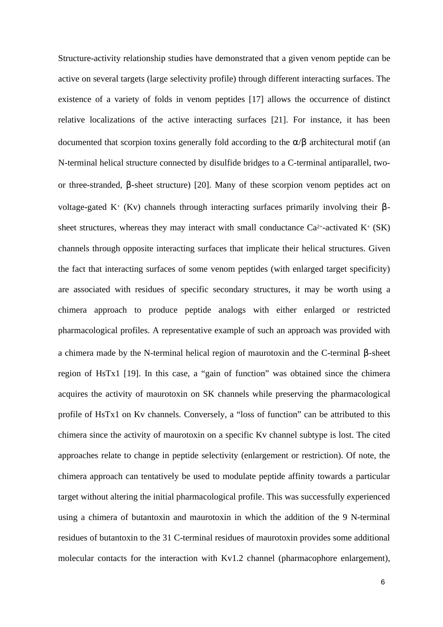Structure-activity relationship studies have demonstrated that a given venom peptide can be active on several targets (large selectivity profile) through different interacting surfaces. The existence of a variety of folds in venom peptides [17] allows the occurrence of distinct relative localizations of the active interacting surfaces [21]. For instance, it has been documented that scorpion toxins generally fold according to the  $\alpha/\beta$  architectural motif (an N-terminal helical structure connected by disulfide bridges to a C-terminal antiparallel, twoor three-stranded, β-sheet structure) [20]. Many of these scorpion venom peptides act on voltage-gated K+ (Kv) channels through interacting surfaces primarily involving their βsheet structures, whereas they may interact with small conductance  $Ca^{2+}$ -activated  $K^+$  (SK) channels through opposite interacting surfaces that implicate their helical structures. Given the fact that interacting surfaces of some venom peptides (with enlarged target specificity) are associated with residues of specific secondary structures, it may be worth using a chimera approach to produce peptide analogs with either enlarged or restricted pharmacological profiles. A representative example of such an approach was provided with a chimera made by the N-terminal helical region of maurotoxin and the C-terminal β-sheet region of HsTx1 [19]. In this case, a "gain of function" was obtained since the chimera acquires the activity of maurotoxin on SK channels while preserving the pharmacological profile of HsTx1 on Kv channels. Conversely, a "loss of function" can be attributed to this chimera since the activity of maurotoxin on a specific Kv channel subtype is lost. The cited approaches relate to change in peptide selectivity (enlargement or restriction). Of note, the chimera approach can tentatively be used to modulate peptide affinity towards a particular target without altering the initial pharmacological profile. This was successfully experienced using a chimera of butantoxin and maurotoxin in which the addition of the 9 N-terminal residues of butantoxin to the 31 C-terminal residues of maurotoxin provides some additional molecular contacts for the interaction with Kv1.2 channel (pharmacophore enlargement),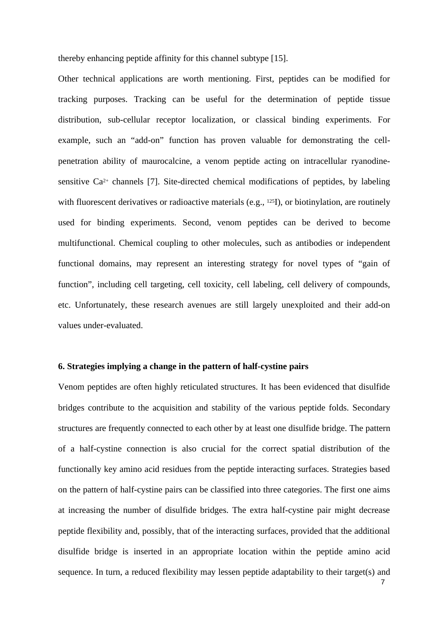thereby enhancing peptide affinity for this channel subtype [15].

Other technical applications are worth mentioning. First, peptides can be modified for tracking purposes. Tracking can be useful for the determination of peptide tissue distribution, sub-cellular receptor localization, or classical binding experiments. For example, such an "add-on" function has proven valuable for demonstrating the cellpenetration ability of maurocalcine, a venom peptide acting on intracellular ryanodinesensitive  $Ca^{2+}$  channels [7]. Site-directed chemical modifications of peptides, by labeling with fluorescent derivatives or radioactive materials (e.g., <sup>125</sup>I), or biotinylation, are routinely used for binding experiments. Second, venom peptides can be derived to become multifunctional. Chemical coupling to other molecules, such as antibodies or independent functional domains, may represent an interesting strategy for novel types of "gain of function", including cell targeting, cell toxicity, cell labeling, cell delivery of compounds, etc. Unfortunately, these research avenues are still largely unexploited and their add-on values under-evaluated.

#### **6. Strategies implying a change in the pattern of half-cystine pairs**

Venom peptides are often highly reticulated structures. It has been evidenced that disulfide bridges contribute to the acquisition and stability of the various peptide folds. Secondary structures are frequently connected to each other by at least one disulfide bridge. The pattern of a half-cystine connection is also crucial for the correct spatial distribution of the functionally key amino acid residues from the peptide interacting surfaces. Strategies based on the pattern of half-cystine pairs can be classified into three categories. The first one aims at increasing the number of disulfide bridges. The extra half-cystine pair might decrease peptide flexibility and, possibly, that of the interacting surfaces, provided that the additional disulfide bridge is inserted in an appropriate location within the peptide amino acid sequence. In turn, a reduced flexibility may lessen peptide adaptability to their target(s) and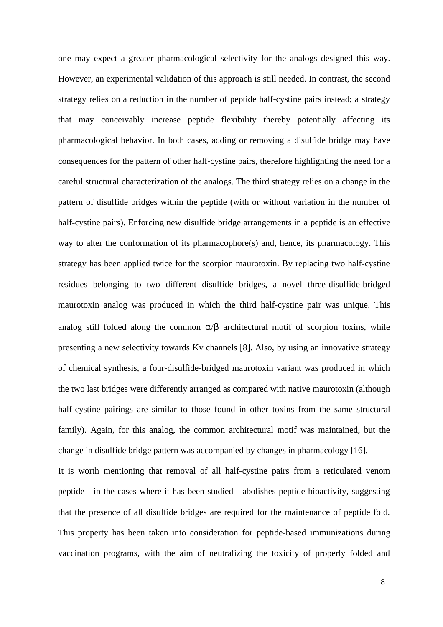one may expect a greater pharmacological selectivity for the analogs designed this way. However, an experimental validation of this approach is still needed. In contrast, the second strategy relies on a reduction in the number of peptide half-cystine pairs instead; a strategy that may conceivably increase peptide flexibility thereby potentially affecting its pharmacological behavior. In both cases, adding or removing a disulfide bridge may have consequences for the pattern of other half-cystine pairs, therefore highlighting the need for a careful structural characterization of the analogs. The third strategy relies on a change in the pattern of disulfide bridges within the peptide (with or without variation in the number of half-cystine pairs). Enforcing new disulfide bridge arrangements in a peptide is an effective way to alter the conformation of its pharmacophore(s) and, hence, its pharmacology. This strategy has been applied twice for the scorpion maurotoxin. By replacing two half-cystine residues belonging to two different disulfide bridges, a novel three-disulfide-bridged maurotoxin analog was produced in which the third half-cystine pair was unique. This analog still folded along the common  $\alpha/\beta$  architectural motif of scorpion toxins, while presenting a new selectivity towards Kv channels [8]. Also, by using an innovative strategy of chemical synthesis, a four-disulfide-bridged maurotoxin variant was produced in which the two last bridges were differently arranged as compared with native maurotoxin (although half-cystine pairings are similar to those found in other toxins from the same structural family). Again, for this analog, the common architectural motif was maintained, but the change in disulfide bridge pattern was accompanied by changes in pharmacology [16].

It is worth mentioning that removal of all half-cystine pairs from a reticulated venom peptide - in the cases where it has been studied - abolishes peptide bioactivity, suggesting that the presence of all disulfide bridges are required for the maintenance of peptide fold. This property has been taken into consideration for peptide-based immunizations during vaccination programs, with the aim of neutralizing the toxicity of properly folded and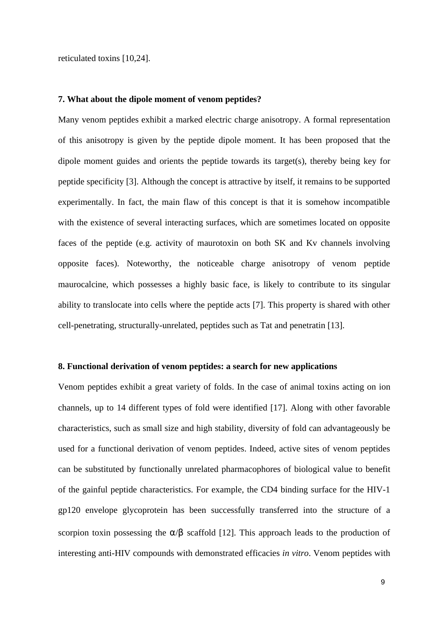reticulated toxins [10,24].

#### **7. What about the dipole moment of venom peptides?**

Many venom peptides exhibit a marked electric charge anisotropy. A formal representation of this anisotropy is given by the peptide dipole moment. It has been proposed that the dipole moment guides and orients the peptide towards its target(s), thereby being key for peptide specificity [3]. Although the concept is attractive by itself, it remains to be supported experimentally. In fact, the main flaw of this concept is that it is somehow incompatible with the existence of several interacting surfaces, which are sometimes located on opposite faces of the peptide (e.g. activity of maurotoxin on both SK and Kv channels involving opposite faces). Noteworthy, the noticeable charge anisotropy of venom peptide maurocalcine, which possesses a highly basic face, is likely to contribute to its singular ability to translocate into cells where the peptide acts [7]. This property is shared with other cell-penetrating, structurally-unrelated, peptides such as Tat and penetratin [13].

#### **8. Functional derivation of venom peptides: a search for new applications**

Venom peptides exhibit a great variety of folds. In the case of animal toxins acting on ion channels, up to 14 different types of fold were identified [17]. Along with other favorable characteristics, such as small size and high stability, diversity of fold can advantageously be used for a functional derivation of venom peptides. Indeed, active sites of venom peptides can be substituted by functionally unrelated pharmacophores of biological value to benefit of the gainful peptide characteristics. For example, the CD4 binding surface for the HIV-1 gp120 envelope glycoprotein has been successfully transferred into the structure of a scorpion toxin possessing the  $\alpha/\beta$  scaffold [12]. This approach leads to the production of interesting anti-HIV compounds with demonstrated efficacies *in vitro*. Venom peptides with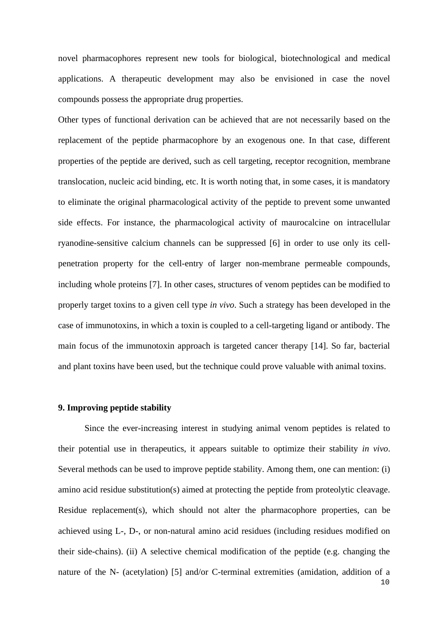novel pharmacophores represent new tools for biological, biotechnological and medical applications. A therapeutic development may also be envisioned in case the novel compounds possess the appropriate drug properties.

Other types of functional derivation can be achieved that are not necessarily based on the replacement of the peptide pharmacophore by an exogenous one. In that case, different properties of the peptide are derived, such as cell targeting, receptor recognition, membrane translocation, nucleic acid binding, etc. It is worth noting that, in some cases, it is mandatory to eliminate the original pharmacological activity of the peptide to prevent some unwanted side effects. For instance, the pharmacological activity of maurocalcine on intracellular ryanodine-sensitive calcium channels can be suppressed [6] in order to use only its cellpenetration property for the cell-entry of larger non-membrane permeable compounds, including whole proteins [7]. In other cases, structures of venom peptides can be modified to properly target toxins to a given cell type *in vivo*. Such a strategy has been developed in the case of immunotoxins, in which a toxin is coupled to a cell-targeting ligand or antibody. The main focus of the immunotoxin approach is targeted cancer therapy [14]. So far, bacterial and plant toxins have been used, but the technique could prove valuable with animal toxins.

#### **9. Improving peptide stability**

Since the ever-increasing interest in studying animal venom peptides is related to their potential use in therapeutics, it appears suitable to optimize their stability *in vivo*. Several methods can be used to improve peptide stability. Among them, one can mention: (i) amino acid residue substitution(s) aimed at protecting the peptide from proteolytic cleavage. Residue replacement(s), which should not alter the pharmacophore properties, can be achieved using L-, D-, or non-natural amino acid residues (including residues modified on their side-chains). (ii) A selective chemical modification of the peptide (e.g. changing the nature of the N- (acetylation) [5] and/or C-terminal extremities (amidation, addition of a 10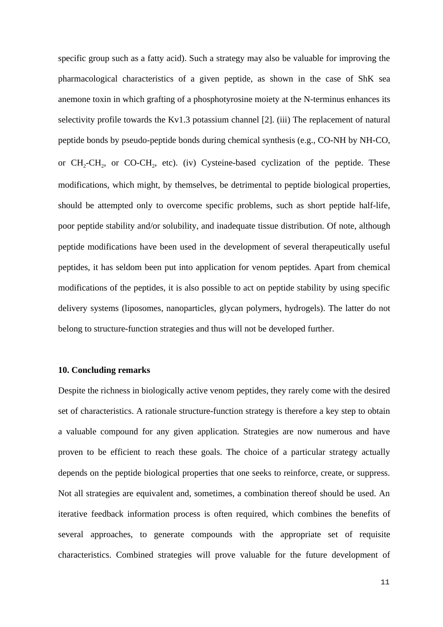specific group such as a fatty acid). Such a strategy may also be valuable for improving the pharmacological characteristics of a given peptide, as shown in the case of ShK sea anemone toxin in which grafting of a phosphotyrosine moiety at the N-terminus enhances its selectivity profile towards the Kv1.3 potassium channel [2]. (iii) The replacement of natural peptide bonds by pseudo-peptide bonds during chemical synthesis (e.g., CO-NH by NH-CO, or  $CH_2\text{-}CH_2$ , or CO-CH<sub>2</sub>, etc). (iv) Cysteine-based cyclization of the peptide. These modifications, which might, by themselves, be detrimental to peptide biological properties, should be attempted only to overcome specific problems, such as short peptide half-life, poor peptide stability and/or solubility, and inadequate tissue distribution. Of note, although peptide modifications have been used in the development of several therapeutically useful peptides, it has seldom been put into application for venom peptides. Apart from chemical modifications of the peptides, it is also possible to act on peptide stability by using specific delivery systems (liposomes, nanoparticles, glycan polymers, hydrogels). The latter do not belong to structure-function strategies and thus will not be developed further.

#### **10. Concluding remarks**

Despite the richness in biologically active venom peptides, they rarely come with the desired set of characteristics. A rationale structure-function strategy is therefore a key step to obtain a valuable compound for any given application. Strategies are now numerous and have proven to be efficient to reach these goals. The choice of a particular strategy actually depends on the peptide biological properties that one seeks to reinforce, create, or suppress. Not all strategies are equivalent and, sometimes, a combination thereof should be used. An iterative feedback information process is often required, which combines the benefits of several approaches, to generate compounds with the appropriate set of requisite characteristics. Combined strategies will prove valuable for the future development of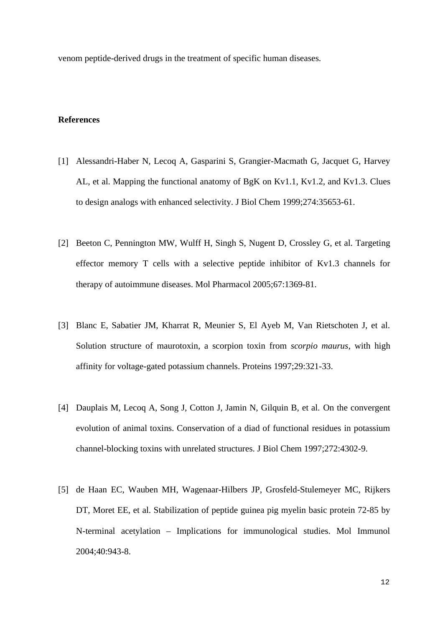venom peptide-derived drugs in the treatment of specific human diseases.

#### **References**

- [1] Alessandri-Haber N, Lecoq A, Gasparini S, Grangier-Macmath G, Jacquet G, Harvey AL, et al. Mapping the functional anatomy of BgK on Kv1.1, Kv1.2, and Kv1.3. Clues to design analogs with enhanced selectivity. J Biol Chem 1999;274:35653-61.
- [2] Beeton C, Pennington MW, Wulff H, Singh S, Nugent D, Crossley G, et al. Targeting effector memory T cells with a selective peptide inhibitor of Kv1.3 channels for therapy of autoimmune diseases. Mol Pharmacol 2005;67:1369-81.
- [3] Blanc E, Sabatier JM, Kharrat R, Meunier S, El Ayeb M, Van Rietschoten J, et al. Solution structure of maurotoxin, a scorpion toxin from *scorpio maurus*, with high affinity for voltage-gated potassium channels. Proteins 1997;29:321-33.
- [4] Dauplais M, Lecoq A, Song J, Cotton J, Jamin N, Gilquin B, et al. On the convergent evolution of animal toxins. Conservation of a diad of functional residues in potassium channel-blocking toxins with unrelated structures. J Biol Chem 1997;272:4302-9.
- [5] de Haan EC, Wauben MH, Wagenaar-Hilbers JP, Grosfeld-Stulemeyer MC, Rijkers DT, Moret EE, et al. Stabilization of peptide guinea pig myelin basic protein 72-85 by N-terminal acetylation – Implications for immunological studies. Mol Immunol 2004;40:943-8.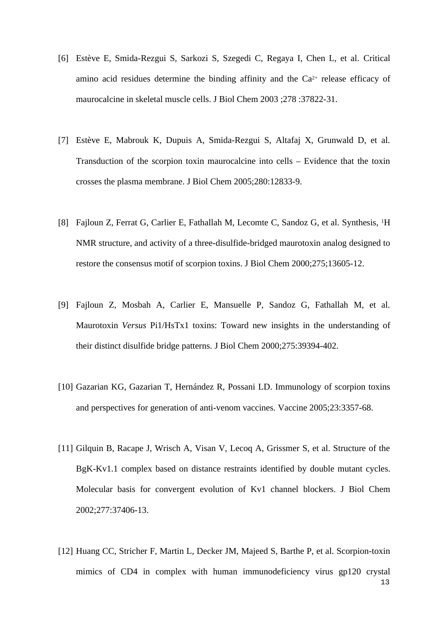- [6] Estève E, Smida-Rezgui S, Sarkozi S, Szegedi C, Regaya I, Chen L, et al. Critical amino acid residues determine the binding affinity and the  $Ca<sup>2+</sup>$  release efficacy of maurocalcine in skeletal muscle cells. J Biol Chem 2003 ;278 :37822-31.
- [7] Estève E, Mabrouk K, Dupuis A, Smida-Rezgui S, Altafaj X, Grunwald D, et al. Transduction of the scorpion toxin maurocalcine into cells – Evidence that the toxin crosses the plasma membrane. J Biol Chem 2005;280:12833-9.
- [8] Fajloun Z, Ferrat G, Carlier E, Fathallah M, Lecomte C, Sandoz G, et al. Synthesis, <sup>1</sup>H NMR structure, and activity of a three-disulfide-bridged maurotoxin analog designed to restore the consensus motif of scorpion toxins. J Biol Chem 2000;275;13605-12.
- [9] Fajloun Z, Mosbah A, Carlier E, Mansuelle P, Sandoz G, Fathallah M, et al. Maurotoxin *Versus* Pi1/HsTx1 toxins: Toward new insights in the understanding of their distinct disulfide bridge patterns. J Biol Chem 2000;275:39394-402.
- [10] Gazarian KG, Gazarian T, Hernández R, Possani LD. Immunology of scorpion toxins and perspectives for generation of anti-venom vaccines. Vaccine 2005;23:3357-68.
- [11] Gilquin B, Racape J, Wrisch A, Visan V, Lecoq A, Grissmer S, et al. Structure of the BgK-Kv1.1 complex based on distance restraints identified by double mutant cycles. Molecular basis for convergent evolution of Kv1 channel blockers. J Biol Chem 2002;277:37406-13.
- [12] Huang CC, Stricher F, Martin L, Decker JM, Majeed S, Barthe P, et al. Scorpion-toxin mimics of CD4 in complex with human immunodeficiency virus gp120 crystal 13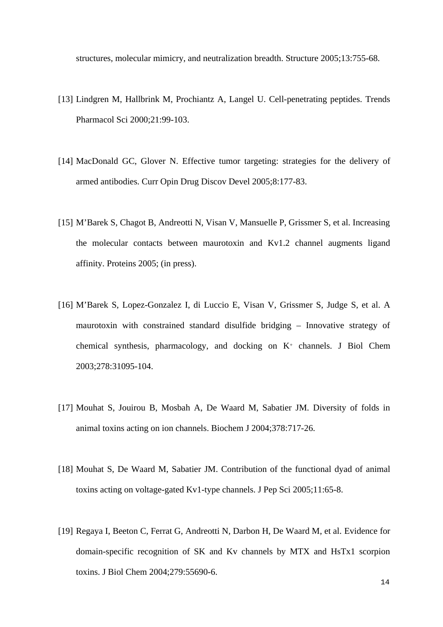structures, molecular mimicry, and neutralization breadth. Structure 2005;13:755-68.

- [13] Lindgren M, Hallbrink M, Prochiantz A, Langel U. Cell-penetrating peptides. Trends Pharmacol Sci 2000;21:99-103.
- [14] MacDonald GC, Glover N. Effective tumor targeting: strategies for the delivery of armed antibodies. Curr Opin Drug Discov Devel 2005;8:177-83.
- [15] M'Barek S, Chagot B, Andreotti N, Visan V, Mansuelle P, Grissmer S, et al. Increasing the molecular contacts between maurotoxin and Kv1.2 channel augments ligand affinity. Proteins 2005; (in press).
- [16] M'Barek S, Lopez-Gonzalez I, di Luccio E, Visan V, Grissmer S, Judge S, et al. A maurotoxin with constrained standard disulfide bridging – Innovative strategy of chemical synthesis, pharmacology, and docking on  $K^+$  channels. J Biol Chem 2003;278:31095-104.
- [17] Mouhat S, Jouirou B, Mosbah A, De Waard M, Sabatier JM. Diversity of folds in animal toxins acting on ion channels. Biochem J 2004;378:717-26.
- [18] Mouhat S, De Waard M, Sabatier JM. Contribution of the functional dyad of animal toxins acting on voltage-gated Kv1-type channels. J Pep Sci 2005;11:65-8.
- [19] Regaya I, Beeton C, Ferrat G, Andreotti N, Darbon H, De Waard M, et al. Evidence for domain-specific recognition of SK and Kv channels by MTX and HsTx1 scorpion toxins. J Biol Chem 2004;279:55690-6.